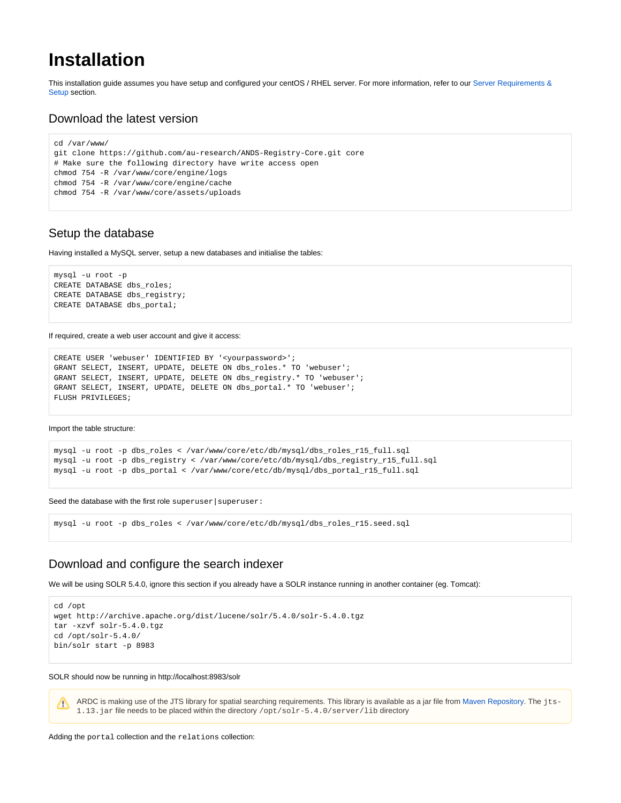# **Installation**

This installation guide assumes you have setup and configured your centOS / RHEL server. For more information, refer to our Server Requirements & [Setup](https://confluence.ands.org.au/pages/viewpage.action?pageId=4751362) section.

## Download the latest version

```
cd /var/www/
git clone https://github.com/au-research/ANDS-Registry-Core.git core
# Make sure the following directory have write access open
chmod 754 -R /var/www/core/engine/logs
chmod 754 -R /var/www/core/engine/cache
chmod 754 -R /var/www/core/assets/uploads
```
# Setup the database

Having installed a MySQL server, setup a new databases and initialise the tables:

```
mysql -u root -p
CREATE DATABASE dbs_roles;
CREATE DATABASE dbs_registry;
CREATE DATABASE dbs_portal;
```
If required, create a web user account and give it access:

```
CREATE USER 'webuser' IDENTIFIED BY '<yourpassword>';
GRANT SELECT, INSERT, UPDATE, DELETE ON dbs_roles.* TO 'webuser';
GRANT SELECT, INSERT, UPDATE, DELETE ON dbs_registry.* TO 'webuser';
GRANT SELECT, INSERT, UPDATE, DELETE ON dbs_portal.* TO 'webuser';
FLUSH PRIVILEGES;
```
### Import the table structure:

Λ

```
mysql -u root -p dbs_roles < /var/www/core/etc/db/mysql/dbs_roles_r15_full.sql
mysql -u root -p dbs_registry < /var/www/core/etc/db/mysql/dbs_registry_r15_full.sql
mysql -u root -p dbs_portal < /var/www/core/etc/db/mysql/dbs_portal_r15_full.sql
```
Seed the database with the first role superuser | superuser:

```
mysql -u root -p dbs_roles < /var/www/core/etc/db/mysql/dbs_roles_r15.seed.sql
```
### Download and configure the search indexer

We will be using SOLR 5.4.0, ignore this section if you already have a SOLR instance running in another container (eg. Tomcat):

```
cd /opt
wget http://archive.apache.org/dist/lucene/solr/5.4.0/solr-5.4.0.tgz
tar -xzvf solr-5.4.0.tgz
cd /opt/solr-5.4.0/
bin/solr start -p 8983
```
SOLR should now be running in http://localhost:8983/solr

ARDC is making use of the JTS library for spatial searching requirements. This library is available as a jar file from [Maven Repository.](https://mvnrepository.com/artifact/com.vividsolutions/jts/1.13) The jts-1.13.jar file needs to be placed within the directory /opt/solr-5.4.0/server/lib directory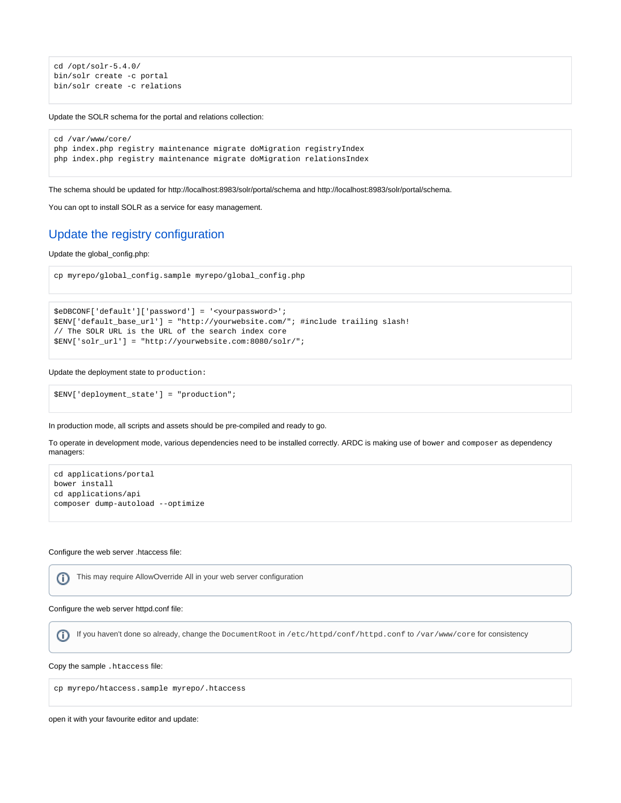```
cd /opt/solr-5.4.0/
bin/solr create -c portal
bin/solr create -c relations
```
ىت

Update the SOLR schema for the portal and relations collection:

```
cd /var/www/core/
php index.php registry maintenance migrate doMigration registryIndex
php index.php registry maintenance migrate doMigration relationsIndex
```
The schema should be updated for http://localhost:8983/solr/portal/schema and http://localhost:8983/solr/portal/schema.

You can opt to install SOLR as a service for easy management.

# Update the registry configuration

Update the global\_config.php:

```
cp myrepo/global_config.sample myrepo/global_config.php
```

```
$eDBCONF['default']['password'] = '<yourpassword>';
$ENV['default_base_url'] = "http://yourwebsite.com/"; #include trailing slash!
// The SOLR URL is the URL of the search index core
$ENV['solr_url'] = "http://yourwebsite.com:8080/solr/";
```
Update the deployment state to production:

\$ENV['deployment\_state'] = "production";

In production mode, all scripts and assets should be pre-compiled and ready to go.

To operate in development mode, various dependencies need to be installed correctly. ARDC is making use of bower and composer as dependency managers:

```
cd applications/portal
bower install
cd applications/api
composer dump-autoload --optimize
```
#### Configure the web server .htaccess file:

⊕

This may require AllowOverride All in your web server configuration

Configure the web server httpd.conf file:

If you haven't done so already, change the DocumentRoot in /etc/httpd/conf/httpd.conf to /var/www/core for consistency⋒

Copy the sample .htaccess file:

cp myrepo/htaccess.sample myrepo/.htaccess

open it with your favourite editor and update: